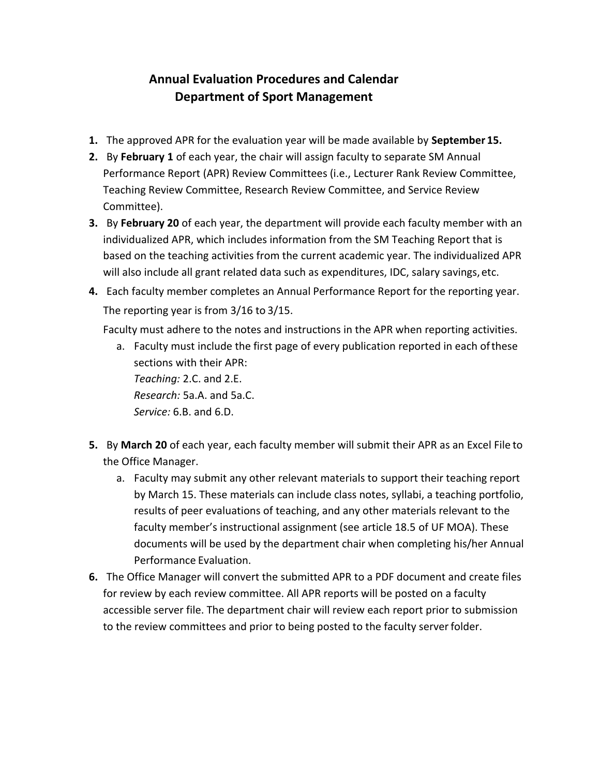## **Annual Evaluation Procedures and Calendar Department of Sport Management**

- **1.** The approved APR for the evaluation year will be made available by **September 15.**
- **2.** By **February 1** of each year, the chair will assign faculty to separate SM Annual Performance Report (APR) Review Committees (i.e., Lecturer Rank Review Committee, Teaching Review Committee, Research Review Committee, and Service Review Committee).
- **3.** By **February 20** of each year, the department will provide each faculty member with an individualized APR, which includes information from the SM Teaching Report that is based on the teaching activities from the current academic year. The individualized APR will also include all grant related data such as expenditures, IDC, salary savings, etc.
- **4.** Each faculty member completes an Annual Performance Report for the reporting year. The reporting year is from 3/16 to 3/15.

Faculty must adhere to the notes and instructions in the APR when reporting activities.

a. Faculty must include the first page of every publication reported in each of these sections with their APR: *Teaching:* 2.C. and 2.E.

*Research:* 5a.A. and 5a.C. *Service:* 6.B. and 6.D.

- **5.** By **March 20** of each year, each faculty member will submit their APR as an Excel File to the Office Manager.
	- a. Faculty may submit any other relevant materials to support their teaching report by March 15. These materials can include class notes, syllabi, a teaching portfolio, results of peer evaluations of teaching, and any other materials relevant to the faculty member's instructional assignment (see article 18.5 of UF MOA). These documents will be used by the department chair when completing his/her Annual Performance Evaluation.
- **6.** The Office Manager will convert the submitted APR to a PDF document and create files for review by each review committee. All APR reports will be posted on a faculty accessible server file. The department chair will review each report prior to submission to the review committees and prior to being posted to the faculty server folder.